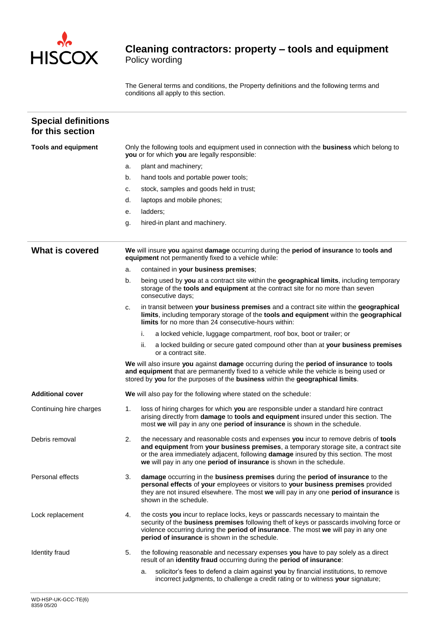

The General terms and conditions, the Property definitions and the following terms and conditions all apply to this section.

| <b>Special definitions</b><br>for this section |                                                                                                                                                                                                                                                                        |                                                                                                                                                                                                                                                                                                                                             |  |  |  |
|------------------------------------------------|------------------------------------------------------------------------------------------------------------------------------------------------------------------------------------------------------------------------------------------------------------------------|---------------------------------------------------------------------------------------------------------------------------------------------------------------------------------------------------------------------------------------------------------------------------------------------------------------------------------------------|--|--|--|
| <b>Tools and equipment</b>                     | Only the following tools and equipment used in connection with the <b>business</b> which belong to<br>you or for which you are legally responsible:                                                                                                                    |                                                                                                                                                                                                                                                                                                                                             |  |  |  |
|                                                | a.                                                                                                                                                                                                                                                                     | plant and machinery;                                                                                                                                                                                                                                                                                                                        |  |  |  |
|                                                | b.                                                                                                                                                                                                                                                                     | hand tools and portable power tools;                                                                                                                                                                                                                                                                                                        |  |  |  |
|                                                | c.                                                                                                                                                                                                                                                                     | stock, samples and goods held in trust;                                                                                                                                                                                                                                                                                                     |  |  |  |
|                                                | d.                                                                                                                                                                                                                                                                     | laptops and mobile phones;                                                                                                                                                                                                                                                                                                                  |  |  |  |
|                                                | е.                                                                                                                                                                                                                                                                     | ladders;                                                                                                                                                                                                                                                                                                                                    |  |  |  |
|                                                | g.                                                                                                                                                                                                                                                                     | hired-in plant and machinery.                                                                                                                                                                                                                                                                                                               |  |  |  |
| What is covered                                | We will insure you against damage occurring during the period of insurance to tools and<br>equipment not permanently fixed to a vehicle while:                                                                                                                         |                                                                                                                                                                                                                                                                                                                                             |  |  |  |
|                                                | a.                                                                                                                                                                                                                                                                     | contained in your business premises;                                                                                                                                                                                                                                                                                                        |  |  |  |
|                                                | b.                                                                                                                                                                                                                                                                     | being used by you at a contract site within the geographical limits, including temporary<br>storage of the tools and equipment at the contract site for no more than seven<br>consecutive days;                                                                                                                                             |  |  |  |
|                                                | c.                                                                                                                                                                                                                                                                     | in transit between your business premises and a contract site within the geographical<br>limits, including temporary storage of the tools and equipment within the geographical<br>limits for no more than 24 consecutive-hours within:                                                                                                     |  |  |  |
|                                                |                                                                                                                                                                                                                                                                        | i.<br>a locked vehicle, luggage compartment, roof box, boot or trailer; or                                                                                                                                                                                                                                                                  |  |  |  |
|                                                |                                                                                                                                                                                                                                                                        | a locked building or secure gated compound other than at your business premises<br>ii.<br>or a contract site.                                                                                                                                                                                                                               |  |  |  |
|                                                | We will also insure you against damage occurring during the period of insurance to tools<br>and equipment that are permanently fixed to a vehicle while the vehicle is being used or<br>stored by you for the purposes of the business within the geographical limits. |                                                                                                                                                                                                                                                                                                                                             |  |  |  |
| <b>Additional cover</b>                        | We will also pay for the following where stated on the schedule:                                                                                                                                                                                                       |                                                                                                                                                                                                                                                                                                                                             |  |  |  |
| Continuing hire charges                        | 1.                                                                                                                                                                                                                                                                     | loss of hiring charges for which you are responsible under a standard hire contract<br>arising directly from damage to tools and equipment insured under this section. The<br>most we will pay in any one period of insurance is shown in the schedule.                                                                                     |  |  |  |
| Debris removal                                 | 2.                                                                                                                                                                                                                                                                     | the necessary and reasonable costs and expenses you incur to remove debris of tools<br>and equipment from your business premises, a temporary storage site, a contract site<br>or the area immediately adjacent, following damage insured by this section. The most<br>we will pay in any one period of insurance is shown in the schedule. |  |  |  |
| Personal effects                               | 3.                                                                                                                                                                                                                                                                     | damage occurring in the business premises during the period of insurance to the<br>personal effects of your employees or visitors to your business premises provided<br>they are not insured elsewhere. The most we will pay in any one period of insurance is<br>shown in the schedule.                                                    |  |  |  |
| Lock replacement                               | 4.                                                                                                                                                                                                                                                                     | the costs you incur to replace locks, keys or passcards necessary to maintain the<br>security of the business premises following theft of keys or passcards involving force or<br>violence occurring during the period of insurance. The most we will pay in any one<br>period of insurance is shown in the schedule.                       |  |  |  |
| Identity fraud                                 | 5.                                                                                                                                                                                                                                                                     | the following reasonable and necessary expenses you have to pay solely as a direct<br>result of an identity fraud occurring during the period of insurance:                                                                                                                                                                                 |  |  |  |
|                                                |                                                                                                                                                                                                                                                                        | solicitor's fees to defend a claim against you by financial institutions, to remove<br>a.<br>incorrect judgments, to challenge a credit rating or to witness your signature;                                                                                                                                                                |  |  |  |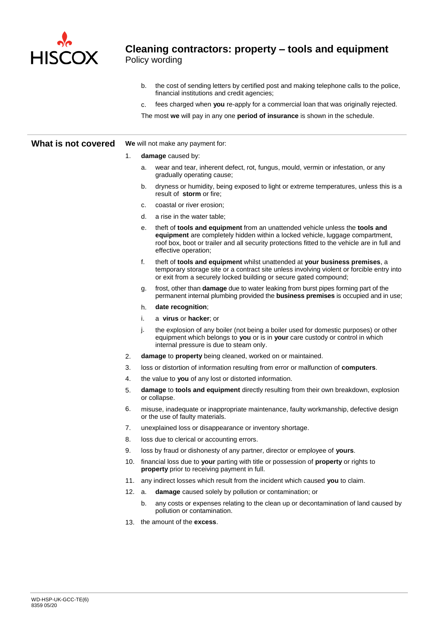

- b. the cost of sending letters by certified post and making telephone calls to the police, financial institutions and credit agencies;
- c. fees charged when **you** re-apply for a commercial loan that was originally rejected.

The most **we** will pay in any one **period of insurance** is shown in the schedule.

| What is not covered |                | We will not make any payment for: |                                                                                                                                                                                                                                                                                       |  |  |
|---------------------|----------------|-----------------------------------|---------------------------------------------------------------------------------------------------------------------------------------------------------------------------------------------------------------------------------------------------------------------------------------|--|--|
|                     | 1 <sub>1</sub> |                                   | damage caused by:                                                                                                                                                                                                                                                                     |  |  |
|                     |                | a.                                | wear and tear, inherent defect, rot, fungus, mould, vermin or infestation, or any<br>gradually operating cause;                                                                                                                                                                       |  |  |
|                     |                | b.                                | dryness or humidity, being exposed to light or extreme temperatures, unless this is a<br>result of storm or fire:                                                                                                                                                                     |  |  |
|                     |                | с.                                | coastal or river erosion;                                                                                                                                                                                                                                                             |  |  |
|                     |                | d.                                | a rise in the water table;                                                                                                                                                                                                                                                            |  |  |
|                     |                | е.                                | theft of tools and equipment from an unattended vehicle unless the tools and<br>equipment are completely hidden within a locked vehicle, luggage compartment,<br>roof box, boot or trailer and all security protections fitted to the vehicle are in full and<br>effective operation; |  |  |
|                     |                | f.                                | theft of tools and equipment whilst unattended at your business premises, a<br>temporary storage site or a contract site unless involving violent or forcible entry into<br>or exit from a securely locked building or secure gated compound;                                         |  |  |
|                     |                | g.                                | frost, other than damage due to water leaking from burst pipes forming part of the<br>permanent internal plumbing provided the <b>business premises</b> is occupied and in use;                                                                                                       |  |  |
|                     |                | h.                                | date recognition;                                                                                                                                                                                                                                                                     |  |  |
|                     |                | i.                                | a virus or hacker; or                                                                                                                                                                                                                                                                 |  |  |
|                     |                | j.                                | the explosion of any boiler (not being a boiler used for domestic purposes) or other<br>equipment which belongs to you or is in your care custody or control in which<br>internal pressure is due to steam only.                                                                      |  |  |
|                     | 2.             |                                   | damage to property being cleaned, worked on or maintained.                                                                                                                                                                                                                            |  |  |
|                     | 3.             |                                   | loss or distortion of information resulting from error or malfunction of computers.                                                                                                                                                                                                   |  |  |
|                     | 4.             |                                   | the value to you of any lost or distorted information.                                                                                                                                                                                                                                |  |  |
|                     | 5.             |                                   | damage to tools and equipment directly resulting from their own breakdown, explosion<br>or collapse.                                                                                                                                                                                  |  |  |
|                     | 6.             |                                   | misuse, inadequate or inappropriate maintenance, faulty workmanship, defective design<br>or the use of faulty materials.                                                                                                                                                              |  |  |
|                     | 7.             |                                   | unexplained loss or disappearance or inventory shortage.                                                                                                                                                                                                                              |  |  |
|                     | 8.             |                                   | loss due to clerical or accounting errors.                                                                                                                                                                                                                                            |  |  |
|                     | 9.             |                                   | loss by fraud or dishonesty of any partner, director or employee of yours.                                                                                                                                                                                                            |  |  |
|                     | 10.            |                                   | financial loss due to your parting with title or possession of property or rights to<br>property prior to receiving payment in full.                                                                                                                                                  |  |  |
|                     |                |                                   | 11. any indirect losses which result from the incident which caused you to claim.                                                                                                                                                                                                     |  |  |
|                     | 12. a.         |                                   | damage caused solely by pollution or contamination; or                                                                                                                                                                                                                                |  |  |
|                     |                | b.                                | any costs or expenses relating to the clean up or decontamination of land caused by<br>pollution or contamination.                                                                                                                                                                    |  |  |
|                     |                |                                   | 13. the amount of the excess.                                                                                                                                                                                                                                                         |  |  |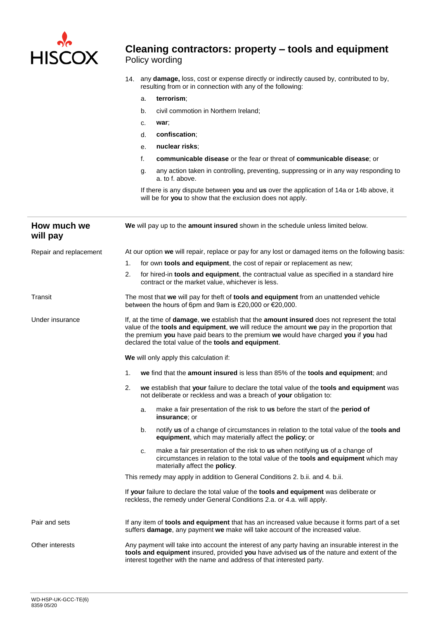

- 14. any **damage,** loss, cost or expense directly or indirectly caused by, contributed to by, resulting from or in connection with any of the following:
	- a. **terrorism**;
	- b. civil commotion in Northern Ireland;
	- c. **war**;
	- d. **confiscation**;
	- e. **nuclear risks**;
	- f. **communicable disease** or the fear or threat of **communicable disease**; or
	- g. any action taken in controlling, preventing, suppressing or in any way responding to a. to f. above.

If there is any dispute between **you** and **us** over the application of 14a or 14b above, it will be for **you** to show that the exclusion does not apply.

| How much we<br>will pay | We will pay up to the amount insured shown in the schedule unless limited below.                                                                                                                                                                                                                                                                        |  |  |  |  |  |  |
|-------------------------|---------------------------------------------------------------------------------------------------------------------------------------------------------------------------------------------------------------------------------------------------------------------------------------------------------------------------------------------------------|--|--|--|--|--|--|
| Repair and replacement  | At our option we will repair, replace or pay for any lost or damaged items on the following basis:                                                                                                                                                                                                                                                      |  |  |  |  |  |  |
|                         | for own <b>tools and equipment</b> , the cost of repair or replacement as new;<br>1 <sub>1</sub>                                                                                                                                                                                                                                                        |  |  |  |  |  |  |
|                         | 2.<br>for hired-in tools and equipment, the contractual value as specified in a standard hire<br>contract or the market value, whichever is less.                                                                                                                                                                                                       |  |  |  |  |  |  |
| Transit                 | The most that we will pay for theft of <b>tools and equipment</b> from an unattended vehicle<br>between the hours of 6pm and 9am is £20,000 or €20,000.                                                                                                                                                                                                 |  |  |  |  |  |  |
| Under insurance         | If, at the time of <b>damage</b> , we establish that the <b>amount insured</b> does not represent the total<br>value of the tools and equipment, we will reduce the amount we pay in the proportion that<br>the premium you have paid bears to the premium we would have charged you if you had<br>declared the total value of the tools and equipment. |  |  |  |  |  |  |
|                         | We will only apply this calculation if:                                                                                                                                                                                                                                                                                                                 |  |  |  |  |  |  |
|                         | 1.<br>we find that the amount insured is less than 85% of the tools and equipment; and                                                                                                                                                                                                                                                                  |  |  |  |  |  |  |
|                         | 2.<br>we establish that your failure to declare the total value of the tools and equipment was<br>not deliberate or reckless and was a breach of your obligation to:                                                                                                                                                                                    |  |  |  |  |  |  |
|                         | make a fair presentation of the risk to us before the start of the period of<br>a.<br>insurance; or                                                                                                                                                                                                                                                     |  |  |  |  |  |  |
|                         | notify us of a change of circumstances in relation to the total value of the tools and<br>b.<br>equipment, which may materially affect the policy; or                                                                                                                                                                                                   |  |  |  |  |  |  |
|                         | make a fair presentation of the risk to us when notifying us of a change of<br>c.<br>circumstances in relation to the total value of the tools and equipment which may<br>materially affect the policy.                                                                                                                                                 |  |  |  |  |  |  |
|                         | This remedy may apply in addition to General Conditions 2. b.ii. and 4. b.ii.                                                                                                                                                                                                                                                                           |  |  |  |  |  |  |
|                         | If your failure to declare the total value of the tools and equipment was deliberate or<br>reckless, the remedy under General Conditions 2.a. or 4.a. will apply.                                                                                                                                                                                       |  |  |  |  |  |  |
| Pair and sets           | If any item of <b>tools and equipment</b> that has an increased value because it forms part of a set<br>suffers damage, any payment we make will take account of the increased value.                                                                                                                                                                   |  |  |  |  |  |  |
| Other interests         | Any payment will take into account the interest of any party having an insurable interest in the<br>tools and equipment insured, provided you have advised us of the nature and extent of the<br>interest together with the name and address of that interested party.                                                                                  |  |  |  |  |  |  |